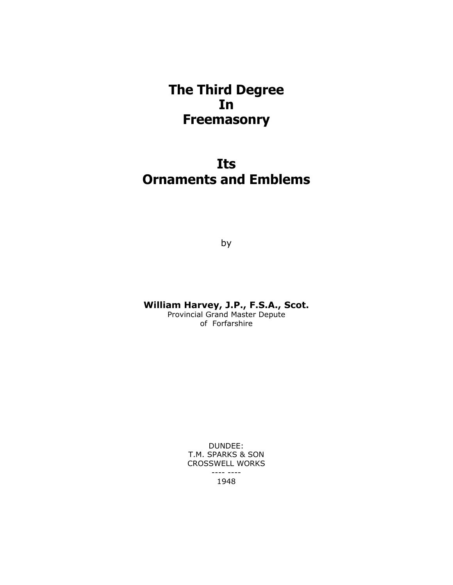## **The Third Degree In Freemasonry**

# **Its Ornaments and Emblems**

by

**William Harvey, J.P., F.S.A., Scot.**

Provincial Grand Master Depute of Forfarshire

> DUNDEE: T.M. SPARKS & SON CROSSWELL WORKS ---- ---- 1948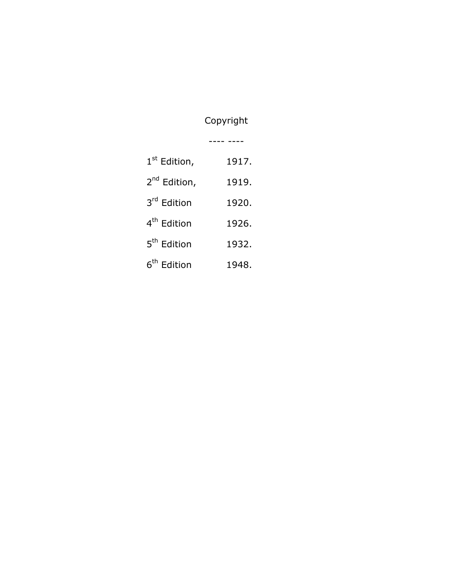### Copyright

---- ----

| 1 <sup>st</sup> Edition,   | 1917. |
|----------------------------|-------|
| 2 <sup>nd</sup> Edition,   | 1919. |
| 3 <sup>rd</sup> Edition    | 1920. |
| 4 <sup>th</sup> Edition    | 1926. |
| 5 <sup>th</sup> Edition    | 1932. |
| 6 <sup>th</sup><br>Edition | 1948. |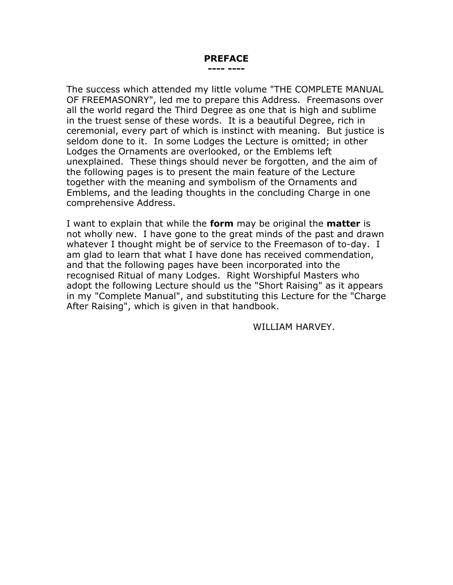#### **PREFACE ---- ----**

The success which attended my little volume "THE COMPLETE MANUAL OF FREEMASONRY", led me to prepare this Address. Freemasons over all the world regard the Third Degree as one that is high and sublime in the truest sense of these words. It is a beautiful Degree, rich in ceremonial, every part of which is instinct with meaning. But justice is seldom done to it. In some Lodges the Lecture is omitted; in other Lodges the Ornaments are overlooked, or the Emblems left unexplained. These things should never be forgotten, and the aim of the following pages is to present the main feature of the Lecture together with the meaning and symbolism of the Ornaments and Emblems, and the leading thoughts in the concluding Charge in one comprehensive Address.

I want to explain that while the **form** may be original the **matter** is not wholly new. I have gone to the great minds of the past and drawn whatever I thought might be of service to the Freemason of to-day. I am glad to learn that what I have done has received commendation, and that the following pages have been incorporated into the recognised Ritual of many Lodges. Right Worshipful Masters who adopt the following Lecture should us the "Short Raising" as it appears in my "Complete Manual", and substituting this Lecture for the "Charge After Raising", which is given in that handbook.

WILLIAM HARVEY.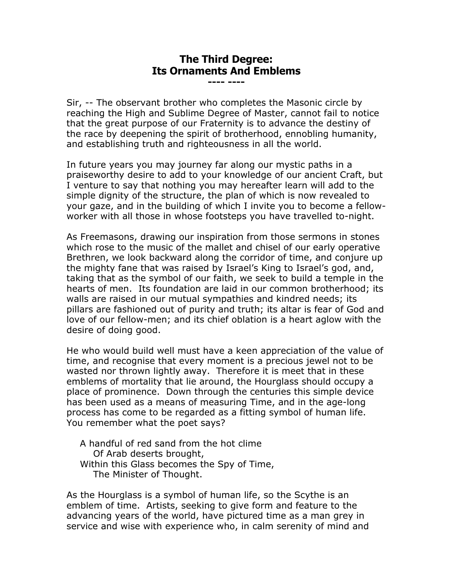#### **The Third Degree: Its Ornaments And Emblems**

**---- ----**

Sir, -- The observant brother who completes the Masonic circle by reaching the High and Sublime Degree of Master, cannot fail to notice that the great purpose of our Fraternity is to advance the destiny of the race by deepening the spirit of brotherhood, ennobling humanity, and establishing truth and righteousness in all the world.

In future years you may journey far along our mystic paths in a praiseworthy desire to add to your knowledge of our ancient Craft, but I venture to say that nothing you may hereafter learn will add to the simple dignity of the structure, the plan of which is now revealed to your gaze, and in the building of which I invite you to become a fellowworker with all those in whose footsteps you have travelled to-night.

As Freemasons, drawing our inspiration from those sermons in stones which rose to the music of the mallet and chisel of our early operative Brethren, we look backward along the corridor of time, and conjure up the mighty fane that was raised by Israel's King to Israel's god, and, taking that as the symbol of our faith, we seek to build a temple in the hearts of men. Its foundation are laid in our common brotherhood; its walls are raised in our mutual sympathies and kindred needs; its pillars are fashioned out of purity and truth; its altar is fear of God and love of our fellow-men; and its chief oblation is a heart aglow with the desire of doing good.

He who would build well must have a keen appreciation of the value of time, and recognise that every moment is a precious jewel not to be wasted nor thrown lightly away. Therefore it is meet that in these emblems of mortality that lie around, the Hourglass should occupy a place of prominence. Down through the centuries this simple device has been used as a means of measuring Time, and in the age-long process has come to be regarded as a fitting symbol of human life. You remember what the poet says?

A handful of red sand from the hot clime Of Arab deserts brought, Within this Glass becomes the Spy of Time, The Minister of Thought.

As the Hourglass is a symbol of human life, so the Scythe is an emblem of time. Artists, seeking to give form and feature to the advancing years of the world, have pictured time as a man grey in service and wise with experience who, in calm serenity of mind and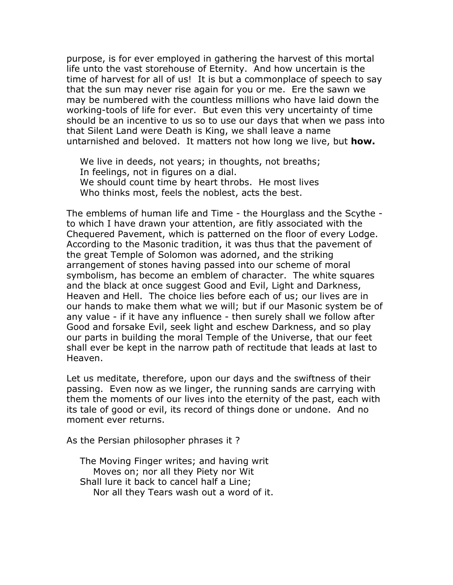purpose, is for ever employed in gathering the harvest of this mortal life unto the vast storehouse of Eternity. And how uncertain is the time of harvest for all of us! It is but a commonplace of speech to say that the sun may never rise again for you or me. Ere the sawn we may be numbered with the countless millions who have laid down the working-tools of life for ever. But even this very uncertainty of time should be an incentive to us so to use our days that when we pass into that Silent Land were Death is King, we shall leave a name untarnished and beloved. It matters not how long we live, but **how.**

We live in deeds, not years; in thoughts, not breaths; In feelings, not in figures on a dial. We should count time by heart throbs. He most lives Who thinks most, feels the noblest, acts the best.

The emblems of human life and Time - the Hourglass and the Scythe to which I have drawn your attention, are fitly associated with the Chequered Pavement, which is patterned on the floor of every Lodge. According to the Masonic tradition, it was thus that the pavement of the great Temple of Solomon was adorned, and the striking arrangement of stones having passed into our scheme of moral symbolism, has become an emblem of character. The white squares and the black at once suggest Good and Evil, Light and Darkness, Heaven and Hell. The choice lies before each of us; our lives are in our hands to make them what we will; but if our Masonic system be of any value - if it have any influence - then surely shall we follow after Good and forsake Evil, seek light and eschew Darkness, and so play our parts in building the moral Temple of the Universe, that our feet shall ever be kept in the narrow path of rectitude that leads at last to Heaven.

Let us meditate, therefore, upon our days and the swiftness of their passing. Even now as we linger, the running sands are carrying with them the moments of our lives into the eternity of the past, each with its tale of good or evil, its record of things done or undone. And no moment ever returns.

As the Persian philosopher phrases it ?

The Moving Finger writes; and having writ Moves on; nor all they Piety nor Wit Shall lure it back to cancel half a Line; Nor all they Tears wash out a word of it.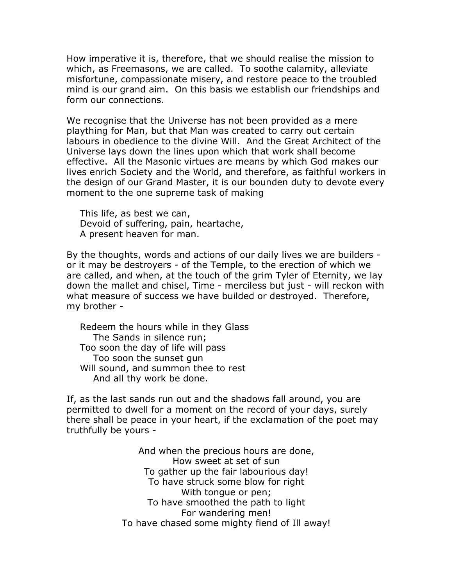How imperative it is, therefore, that we should realise the mission to which, as Freemasons, we are called. To soothe calamity, alleviate misfortune, compassionate misery, and restore peace to the troubled mind is our grand aim. On this basis we establish our friendships and form our connections.

We recognise that the Universe has not been provided as a mere plaything for Man, but that Man was created to carry out certain labours in obedience to the divine Will. And the Great Architect of the Universe lays down the lines upon which that work shall become effective. All the Masonic virtues are means by which God makes our lives enrich Society and the World, and therefore, as faithful workers in the design of our Grand Master, it is our bounden duty to devote every moment to the one supreme task of making

This life, as best we can, Devoid of suffering, pain, heartache, A present heaven for man.

By the thoughts, words and actions of our daily lives we are builders or it may be destroyers - of the Temple, to the erection of which we are called, and when, at the touch of the grim Tyler of Eternity, we lay down the mallet and chisel, Time - merciless but just - will reckon with what measure of success we have builded or destroyed. Therefore, my brother -

Redeem the hours while in they Glass The Sands in silence run; Too soon the day of life will pass Too soon the sunset gun Will sound, and summon thee to rest And all thy work be done.

If, as the last sands run out and the shadows fall around, you are permitted to dwell for a moment on the record of your days, surely there shall be peace in your heart, if the exclamation of the poet may truthfully be yours -

> And when the precious hours are done, How sweet at set of sun To gather up the fair labourious day! To have struck some blow for right With tongue or pen; To have smoothed the path to light For wandering men! To have chased some mighty fiend of Ill away!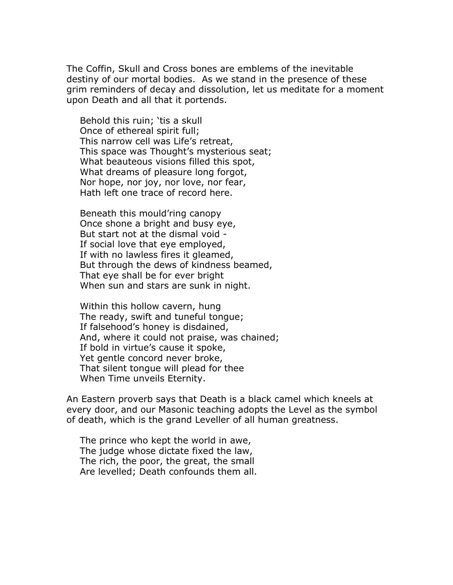The Coffin, Skull and Cross bones are emblems of the inevitable destiny of our mortal bodies. As we stand in the presence of these grim reminders of decay and dissolution, let us meditate for a moment upon Death and all that it portends.

Behold this ruin; 'tis a skull Once of ethereal spirit full; This narrow cell was Life's retreat, This space was Thought's mysterious seat; What beauteous visions filled this spot, What dreams of pleasure long forgot, Nor hope, nor joy, nor love, nor fear, Hath left one trace of record here.

Beneath this mould'ring canopy Once shone a bright and busy eye, But start not at the dismal void - If social love that eye employed, If with no lawless fires it gleamed, But through the dews of kindness beamed, That eye shall be for ever bright When sun and stars are sunk in night.

Within this hollow cavern, hung The ready, swift and tuneful tongue; If falsehood's honey is disdained, And, where it could not praise, was chained; If bold in virtue's cause it spoke, Yet gentle concord never broke, That silent tongue will plead for thee When Time unveils Eternity.

An Eastern proverb says that Death is a black camel which kneels at every door, and our Masonic teaching adopts the Level as the symbol of death, which is the grand Leveller of all human greatness.

The prince who kept the world in awe, The judge whose dictate fixed the law, The rich, the poor, the great, the small Are levelled; Death confounds them all.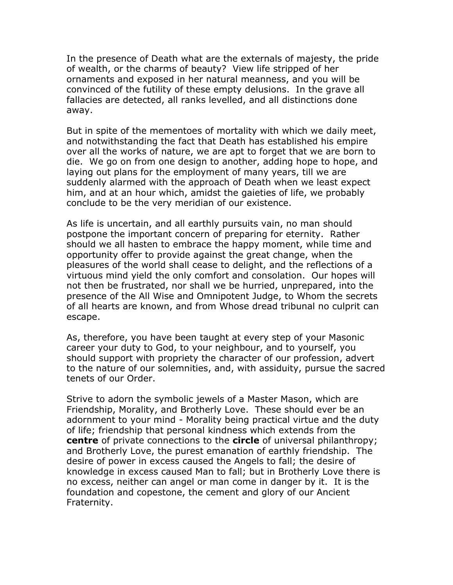In the presence of Death what are the externals of majesty, the pride of wealth, or the charms of beauty? View life stripped of her ornaments and exposed in her natural meanness, and you will be convinced of the futility of these empty delusions. In the grave all fallacies are detected, all ranks levelled, and all distinctions done away.

But in spite of the mementoes of mortality with which we daily meet, and notwithstanding the fact that Death has established his empire over all the works of nature, we are apt to forget that we are born to die. We go on from one design to another, adding hope to hope, and laying out plans for the employment of many years, till we are suddenly alarmed with the approach of Death when we least expect him, and at an hour which, amidst the gaieties of life, we probably conclude to be the very meridian of our existence.

As life is uncertain, and all earthly pursuits vain, no man should postpone the important concern of preparing for eternity. Rather should we all hasten to embrace the happy moment, while time and opportunity offer to provide against the great change, when the pleasures of the world shall cease to delight, and the reflections of a virtuous mind yield the only comfort and consolation. Our hopes will not then be frustrated, nor shall we be hurried, unprepared, into the presence of the All Wise and Omnipotent Judge, to Whom the secrets of all hearts are known, and from Whose dread tribunal no culprit can escape.

As, therefore, you have been taught at every step of your Masonic career your duty to God, to your neighbour, and to yourself, you should support with propriety the character of our profession, advert to the nature of our solemnities, and, with assiduity, pursue the sacred tenets of our Order.

Strive to adorn the symbolic jewels of a Master Mason, which are Friendship, Morality, and Brotherly Love. These should ever be an adornment to your mind - Morality being practical virtue and the duty of life; friendship that personal kindness which extends from the **centre** of private connections to the **circle** of universal philanthropy; and Brotherly Love, the purest emanation of earthly friendship. The desire of power in excess caused the Angels to fall; the desire of knowledge in excess caused Man to fall; but in Brotherly Love there is no excess, neither can angel or man come in danger by it. It is the foundation and copestone, the cement and glory of our Ancient Fraternity.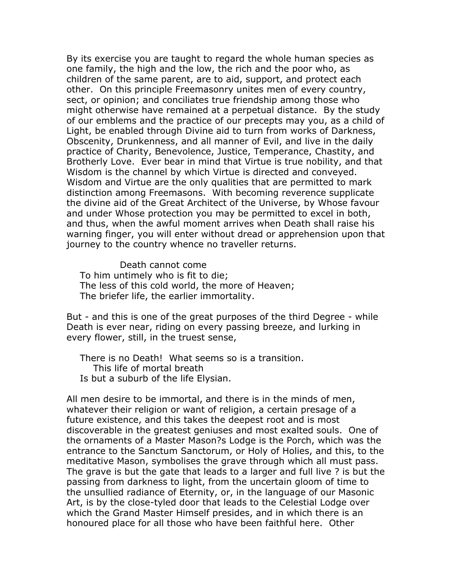By its exercise you are taught to regard the whole human species as one family, the high and the low, the rich and the poor who, as children of the same parent, are to aid, support, and protect each other. On this principle Freemasonry unites men of every country, sect, or opinion; and conciliates true friendship among those who might otherwise have remained at a perpetual distance. By the study of our emblems and the practice of our precepts may you, as a child of Light, be enabled through Divine aid to turn from works of Darkness, Obscenity, Drunkenness, and all manner of Evil, and live in the daily practice of Charity, Benevolence, Justice, Temperance, Chastity, and Brotherly Love. Ever bear in mind that Virtue is true nobility, and that Wisdom is the channel by which Virtue is directed and conveyed. Wisdom and Virtue are the only qualities that are permitted to mark distinction among Freemasons. With becoming reverence supplicate the divine aid of the Great Architect of the Universe, by Whose favour and under Whose protection you may be permitted to excel in both, and thus, when the awful moment arrives when Death shall raise his warning finger, you will enter without dread or apprehension upon that journey to the country whence no traveller returns.

Death cannot come To him untimely who is fit to die; The less of this cold world, the more of Heaven; The briefer life, the earlier immortality.

But - and this is one of the great purposes of the third Degree - while Death is ever near, riding on every passing breeze, and lurking in every flower, still, in the truest sense,

There is no Death! What seems so is a transition. This life of mortal breath Is but a suburb of the life Elysian.

All men desire to be immortal, and there is in the minds of men, whatever their religion or want of religion, a certain presage of a future existence, and this takes the deepest root and is most discoverable in the greatest geniuses and most exalted souls. One of the ornaments of a Master Mason?s Lodge is the Porch, which was the entrance to the Sanctum Sanctorum, or Holy of Holies, and this, to the meditative Mason, symbolises the grave through which all must pass. The grave is but the gate that leads to a larger and full live ? is but the passing from darkness to light, from the uncertain gloom of time to the unsullied radiance of Eternity, or, in the language of our Masonic Art, is by the close-tyled door that leads to the Celestial Lodge over which the Grand Master Himself presides, and in which there is an honoured place for all those who have been faithful here. Other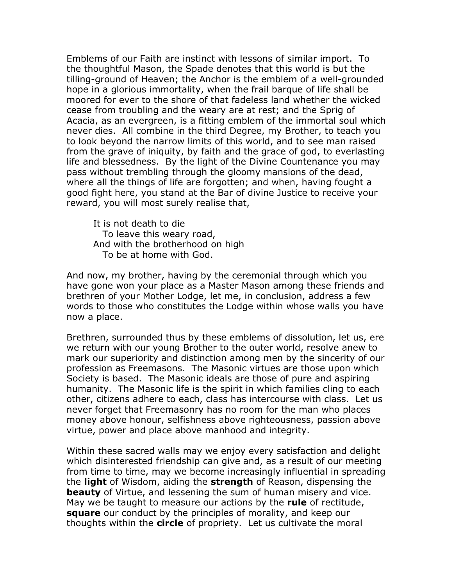Emblems of our Faith are instinct with lessons of similar import. To the thoughtful Mason, the Spade denotes that this world is but the tilling-ground of Heaven; the Anchor is the emblem of a well-grounded hope in a glorious immortality, when the frail barque of life shall be moored for ever to the shore of that fadeless land whether the wicked cease from troubling and the weary are at rest; and the Sprig of Acacia, as an evergreen, is a fitting emblem of the immortal soul which never dies. All combine in the third Degree, my Brother, to teach you to look beyond the narrow limits of this world, and to see man raised from the grave of iniquity, by faith and the grace of god, to everlasting life and blessedness. By the light of the Divine Countenance you may pass without trembling through the gloomy mansions of the dead, where all the things of life are forgotten; and when, having fought a good fight here, you stand at the Bar of divine Justice to receive your reward, you will most surely realise that,

It is not death to die To leave this weary road, And with the brotherhood on high To be at home with God.

And now, my brother, having by the ceremonial through which you have gone won your place as a Master Mason among these friends and brethren of your Mother Lodge, let me, in conclusion, address a few words to those who constitutes the Lodge within whose walls you have now a place.

Brethren, surrounded thus by these emblems of dissolution, let us, ere we return with our young Brother to the outer world, resolve anew to mark our superiority and distinction among men by the sincerity of our profession as Freemasons. The Masonic virtues are those upon which Society is based. The Masonic ideals are those of pure and aspiring humanity. The Masonic life is the spirit in which families cling to each other, citizens adhere to each, class has intercourse with class. Let us never forget that Freemasonry has no room for the man who places money above honour, selfishness above righteousness, passion above virtue, power and place above manhood and integrity.

Within these sacred walls may we enjoy every satisfaction and delight which disinterested friendship can give and, as a result of our meeting from time to time, may we become increasingly influential in spreading the **light** of Wisdom, aiding the **strength** of Reason, dispensing the **beauty** of Virtue, and lessening the sum of human misery and vice. May we be taught to measure our actions by the **rule** of rectitude, **square** our conduct by the principles of morality, and keep our thoughts within the **circle** of propriety. Let us cultivate the moral